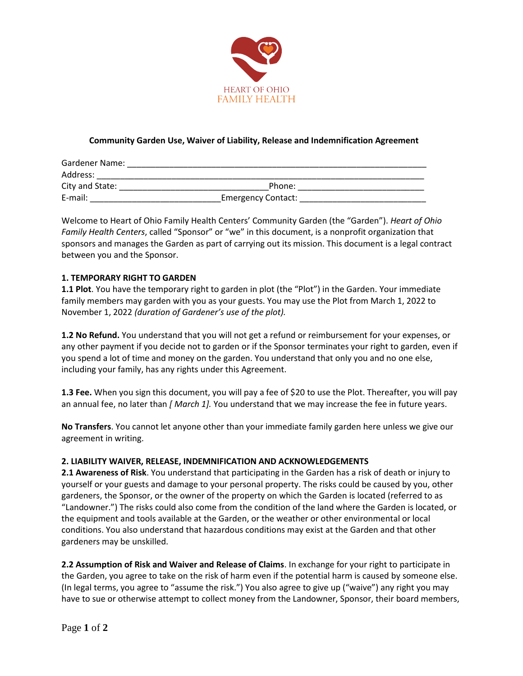

# **Community Garden Use, Waiver of Liability, Release and Indemnification Agreement**

| Gardener Name:  |                           |  |
|-----------------|---------------------------|--|
| Address:        |                           |  |
| City and State: | Phone:                    |  |
| E-mail:         | <b>Emergency Contact:</b> |  |

Welcome to Heart of Ohio Family Health Centers' Community Garden (the "Garden"). *Heart of Ohio Family Health Centers*, called "Sponsor" or "we" in this document, is a nonprofit organization that sponsors and manages the Garden as part of carrying out its mission. This document is a legal contract between you and the Sponsor.

## **1. TEMPORARY RIGHT TO GARDEN**

**1.1 Plot**. You have the temporary right to garden in plot (the "Plot") in the Garden. Your immediate family members may garden with you as your guests. You may use the Plot from March 1, 2022 to November 1, 2022 *(duration of Gardener's use of the plot).*

**1.2 No Refund.** You understand that you will not get a refund or reimbursement for your expenses, or any other payment if you decide not to garden or if the Sponsor terminates your right to garden, even if you spend a lot of time and money on the garden. You understand that only you and no one else, including your family, has any rights under this Agreement.

**1.3 Fee.** When you sign this document, you will pay a fee of \$20 to use the Plot. Thereafter, you will pay an annual fee, no later than *[ March 1].* You understand that we may increase the fee in future years.

**No Transfers**. You cannot let anyone other than your immediate family garden here unless we give our agreement in writing.

## **2. LIABILITY WAIVER, RELEASE, INDEMNIFICATION AND ACKNOWLEDGEMENTS**

**2.1 Awareness of Risk**. You understand that participating in the Garden has a risk of death or injury to yourself or your guests and damage to your personal property. The risks could be caused by you, other gardeners, the Sponsor, or the owner of the property on which the Garden is located (referred to as "Landowner.") The risks could also come from the condition of the land where the Garden is located, or the equipment and tools available at the Garden, or the weather or other environmental or local conditions. You also understand that hazardous conditions may exist at the Garden and that other gardeners may be unskilled.

**2.2 Assumption of Risk and Waiver and Release of Claims**. In exchange for your right to participate in the Garden, you agree to take on the risk of harm even if the potential harm is caused by someone else. (In legal terms, you agree to "assume the risk.") You also agree to give up ("waive") any right you may have to sue or otherwise attempt to collect money from the Landowner, Sponsor, their board members,